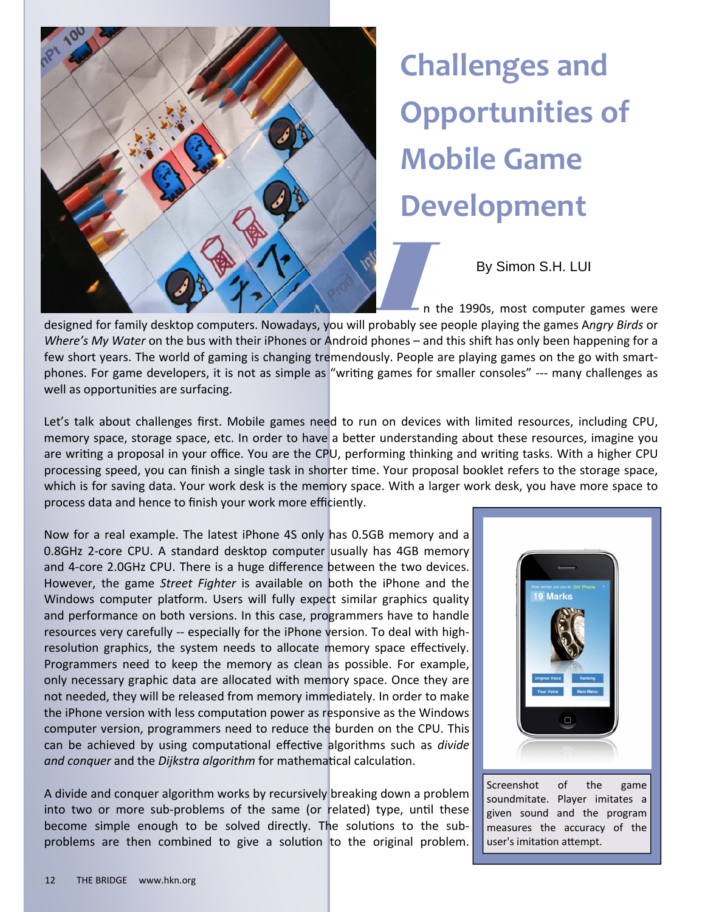

## **Challenges and Opportunities of Mobile Game Development**

By Simon S.H. LUI

n the 1990s, most computer games were

*Where's My Water* on the bus with their iPhones or Android phones – and this shift has only been happening for a few short years. The world of gaming is changing tremendously. People are playing games on the go with smartphones. For game developers, it is not as simple as "writing games for smaller consoles" --- many challenges as well as opportunities are surfacing.

Let's talk about challenges first. Mobile games need to run on devices with limited resources, including CPU, memory space, storage space, etc. In order to have a better understanding about these resources, imagine you are writing a proposal in your office. You are the CPU, performing thinking and writing tasks. With a higher CPU processing speed, you can finish a single task in shorter time. Your proposal booklet refers to the storage space, which is for saving data. Your work desk is the memory space. With a larger work desk, you have more space to process data and hence to finish your work more efficiently.

Now for a real example. The latest iPhone 4S only has 0.5GB memory and a 0.8GHz 2-core CPU. A standard desktop computer usually has 4GB memory and 4‐core 2.0GHz CPU. There is a huge difference between the two devices. However, the game *Street Fighter* is available on both the iPhone and the Windows computer platform. Users will fully expect similar graphics quality and performance on both versions. In this case, programmers have to handle resources very carefully -- especially for the iPhone version. To deal with highresolution graphics, the system needs to allocate memory space effectively. Programmers need to keep the memory as clean as possible. For example, only necessary graphic data are allocated with memory space. Once they are not needed, they will be released from memory immediately. In order to make the iPhone version with less computation power as responsive as the Windows computer version, programmers need to reduce the burden on the CPU. This can be achieved by using computational effective algorithms such as *divide and conquer* and the *Dijkstra algorithm* for mathemaƟcal calculaƟon.

A divide and conquer algorithm works by recursively breaking down a problem into two or more sub-problems of the same (or related) type, until these become simple enough to be solved directly. The solutions to the subproblems are then combined to give a solution to the original problem.



Screenshot of the game soundmitate. Player imitates a given sound and the program measures the accuracy of the user's imitation attempt.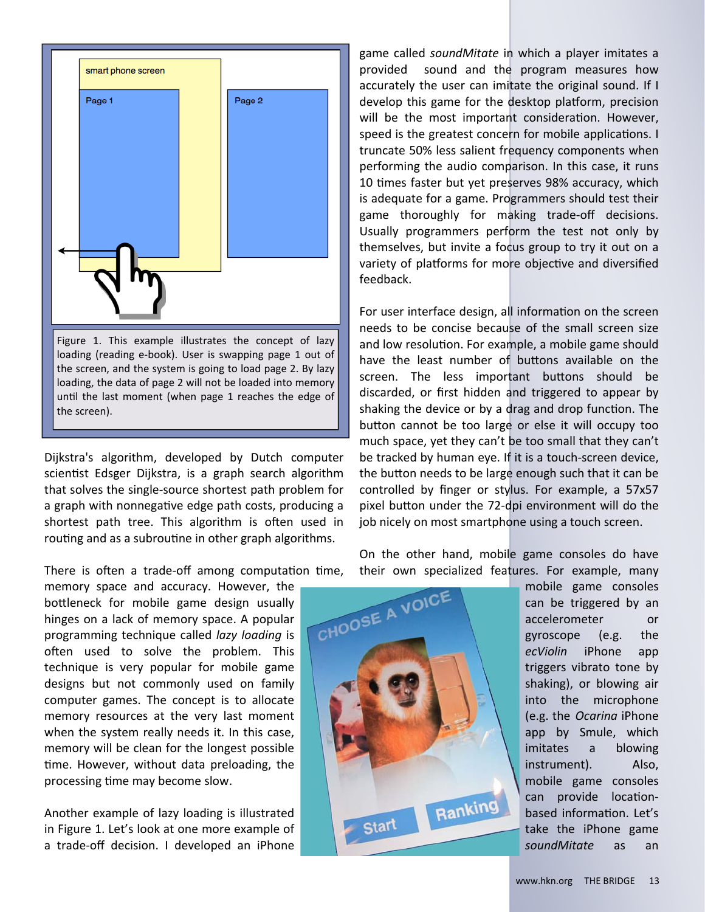

Dijkstra's algorithm, developed by Dutch computer scientist Edsger Dijkstra, is a graph search algorithm that solves the single‐source shortest path problem for a graph with nonnegative edge path costs, producing a shortest path tree. This algorithm is often used in routing and as a subroutine in other graph algorithms.

There is often a trade-off among computation time,

memory space and accuracy. However, the bottleneck for mobile game design usually hinges on a lack of memory space. A popular programming technique called *lazy loading* is often used to solve the problem. This technique is very popular for mobile game designs but not commonly used on family computer games. The concept is to allocate memory resources at the very last moment when the system really needs it. In this case, memory will be clean for the longest possible time. However, without data preloading, the processing time may become slow.

Another example of lazy loading is illustrated in Figure 1. Let's look at one more example of a trade‐off decision. I developed an iPhone

game called *soundMitate* in which a player imitates a provided sound and the program measures how accurately the user can imitate the original sound. If I develop this game for the desktop platform, precision will be the most important consideration. However, speed is the greatest concern for mobile applications. I truncate 50% less salient frequency components when performing the audio comparison. In this case, it runs 10 times faster but yet preserves 98% accuracy, which is adequate for a game. Programmers should test their game thoroughly for making trade‐off decisions. Usually programmers perform the test not only by themselves, but invite a focus group to try it out on a variety of platforms for more objective and diversified feedback.

For user interface design, all information on the screen needs to be concise because of the small screen size and low resolution. For example, a mobile game should have the least number of buttons available on the screen. The less important buttons should be discarded, or first hidden and triggered to appear by shaking the device or by a drag and drop function. The button cannot be too large or else it will occupy too much space, yet they can't be too small that they can't be tracked by human eye. If it is a touch‐screen device, the button needs to be large enough such that it can be controlled by finger or stylus. For example, a 57x57 pixel button under the 72-dpi environment will do the job nicely on most smartphone using a touch screen.

On the other hand, mobile game consoles do have their own specialized features. For example, many



mobile game consoles can be triggered by an accelerometer or gyroscope (e.g. the *ecViolin* iPhone app triggers vibrato tone by shaking), or blowing air into the microphone (e.g. the *Ocarina* iPhone app by Smule, which imitates a blowing instrument). Also, mobile game consoles can provide locationbased information. Let's take the iPhone game *soundMitate* as an